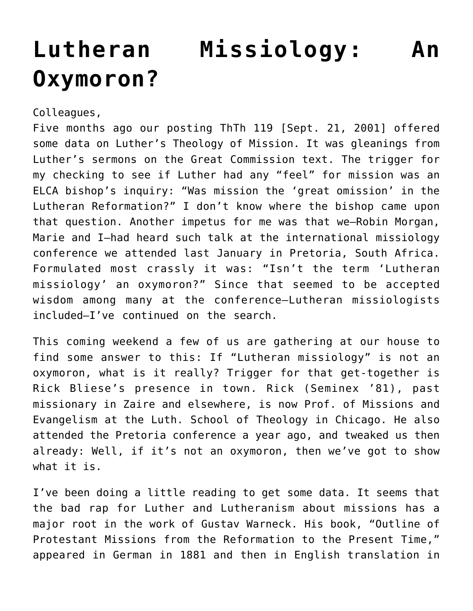## **[Lutheran Missiology: An](https://crossings.org/lutheran-missiology-an-oxymoron/) [Oxymoron?](https://crossings.org/lutheran-missiology-an-oxymoron/)**

Colleagues,

Five months ago our posting ThTh 119 [Sept. 21, 2001] offered some data on Luther's Theology of Mission. It was gleanings from Luther's sermons on the Great Commission text. The trigger for my checking to see if Luther had any "feel" for mission was an ELCA bishop's inquiry: "Was mission the 'great omission' in the Lutheran Reformation?" I don't know where the bishop came upon that question. Another impetus for me was that we–Robin Morgan, Marie and I–had heard such talk at the international missiology conference we attended last January in Pretoria, South Africa. Formulated most crassly it was: "Isn't the term 'Lutheran missiology' an oxymoron?" Since that seemed to be accepted wisdom among many at the conference–Lutheran missiologists included–I've continued on the search.

This coming weekend a few of us are gathering at our house to find some answer to this: If "Lutheran missiology" is not an oxymoron, what is it really? Trigger for that get-together is Rick Bliese's presence in town. Rick (Seminex '81), past missionary in Zaire and elsewhere, is now Prof. of Missions and Evangelism at the Luth. School of Theology in Chicago. He also attended the Pretoria conference a year ago, and tweaked us then already: Well, if it's not an oxymoron, then we've got to show what it is.

I've been doing a little reading to get some data. It seems that the bad rap for Luther and Lutheranism about missions has a major root in the work of Gustav Warneck. His book, "Outline of Protestant Missions from the Reformation to the Present Time," appeared in German in 1881 and then in English translation in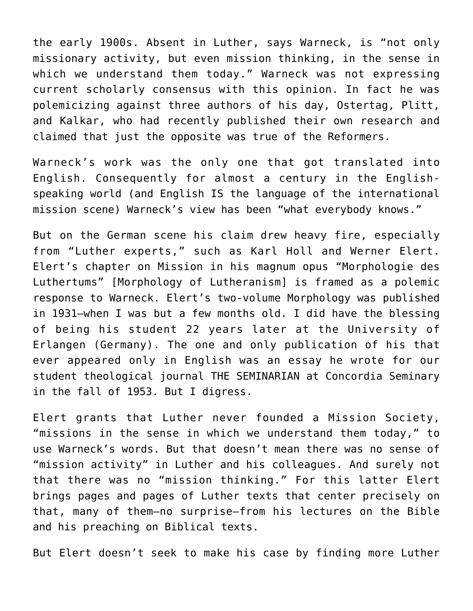the early 1900s. Absent in Luther, says Warneck, is "not only missionary activity, but even mission thinking, in the sense in which we understand them today." Warneck was not expressing current scholarly consensus with this opinion. In fact he was polemicizing against three authors of his day, Ostertag, Plitt, and Kalkar, who had recently published their own research and claimed that just the opposite was true of the Reformers.

Warneck's work was the only one that got translated into English. Consequently for almost a century in the Englishspeaking world (and English IS the language of the international mission scene) Warneck's view has been "what everybody knows."

But on the German scene his claim drew heavy fire, especially from "Luther experts," such as Karl Holl and Werner Elert. Elert's chapter on Mission in his magnum opus "Morphologie des Luthertums" [Morphology of Lutheranism] is framed as a polemic response to Warneck. Elert's two-volume Morphology was published in 1931–when I was but a few months old. I did have the blessing of being his student 22 years later at the University of Erlangen (Germany). The one and only publication of his that ever appeared only in English was an essay he wrote for our student theological journal THE SEMINARIAN at Concordia Seminary in the fall of 1953. But I digress.

Elert grants that Luther never founded a Mission Society, "missions in the sense in which we understand them today," to use Warneck's words. But that doesn't mean there was no sense of "mission activity" in Luther and his colleagues. And surely not that there was no "mission thinking." For this latter Elert brings pages and pages of Luther texts that center precisely on that, many of them–no surprise–from his lectures on the Bible and his preaching on Biblical texts.

But Elert doesn't seek to make his case by finding more Luther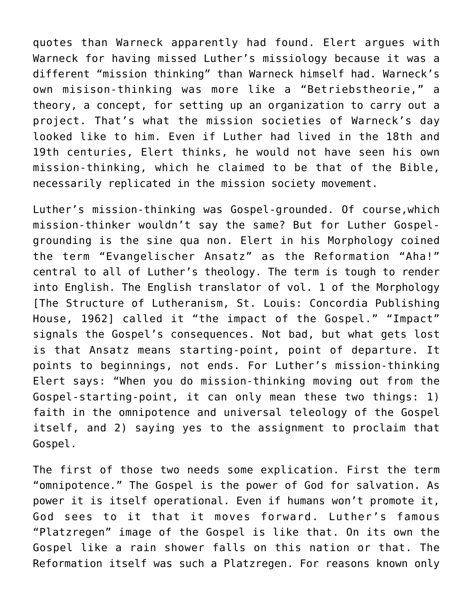quotes than Warneck apparently had found. Elert argues with Warneck for having missed Luther's missiology because it was a different "mission thinking" than Warneck himself had. Warneck's own misison-thinking was more like a "Betriebstheorie," a theory, a concept, for setting up an organization to carry out a project. That's what the mission societies of Warneck's day looked like to him. Even if Luther had lived in the 18th and 19th centuries, Elert thinks, he would not have seen his own mission-thinking, which he claimed to be that of the Bible, necessarily replicated in the mission society movement.

Luther's mission-thinking was Gospel-grounded. Of course,which mission-thinker wouldn't say the same? But for Luther Gospelgrounding is the sine qua non. Elert in his Morphology coined the term "Evangelischer Ansatz" as the Reformation "Aha!" central to all of Luther's theology. The term is tough to render into English. The English translator of vol. 1 of the Morphology [The Structure of Lutheranism, St. Louis: Concordia Publishing House, 1962] called it "the impact of the Gospel." "Impact" signals the Gospel's consequences. Not bad, but what gets lost is that Ansatz means starting-point, point of departure. It points to beginnings, not ends. For Luther's mission-thinking Elert says: "When you do mission-thinking moving out from the Gospel-starting-point, it can only mean these two things: 1) faith in the omnipotence and universal teleology of the Gospel itself, and 2) saying yes to the assignment to proclaim that Gospel.

The first of those two needs some explication. First the term "omnipotence." The Gospel is the power of God for salvation. As power it is itself operational. Even if humans won't promote it, God sees to it that it moves forward. Luther's famous "Platzregen" image of the Gospel is like that. On its own the Gospel like a rain shower falls on this nation or that. The Reformation itself was such a Platzregen. For reasons known only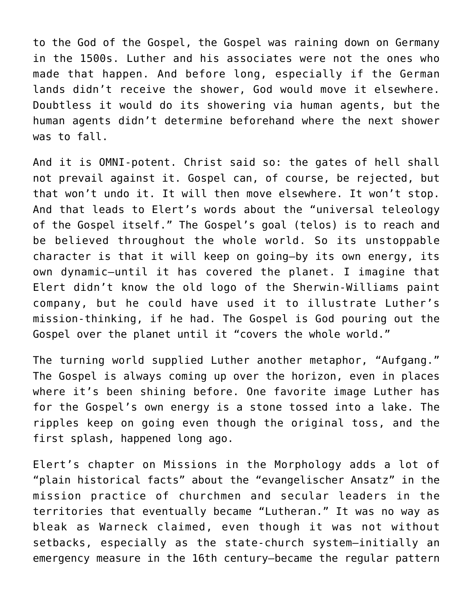to the God of the Gospel, the Gospel was raining down on Germany in the 1500s. Luther and his associates were not the ones who made that happen. And before long, especially if the German lands didn't receive the shower, God would move it elsewhere. Doubtless it would do its showering via human agents, but the human agents didn't determine beforehand where the next shower was to fall.

And it is OMNI-potent. Christ said so: the gates of hell shall not prevail against it. Gospel can, of course, be rejected, but that won't undo it. It will then move elsewhere. It won't stop. And that leads to Elert's words about the "universal teleology of the Gospel itself." The Gospel's goal (telos) is to reach and be believed throughout the whole world. So its unstoppable character is that it will keep on going–by its own energy, its own dynamic–until it has covered the planet. I imagine that Elert didn't know the old logo of the Sherwin-Williams paint company, but he could have used it to illustrate Luther's mission-thinking, if he had. The Gospel is God pouring out the Gospel over the planet until it "covers the whole world."

The turning world supplied Luther another metaphor, "Aufgang." The Gospel is always coming up over the horizon, even in places where it's been shining before. One favorite image Luther has for the Gospel's own energy is a stone tossed into a lake. The ripples keep on going even though the original toss, and the first splash, happened long ago.

Elert's chapter on Missions in the Morphology adds a lot of "plain historical facts" about the "evangelischer Ansatz" in the mission practice of churchmen and secular leaders in the territories that eventually became "Lutheran." It was no way as bleak as Warneck claimed, even though it was not without setbacks, especially as the state-church system–initially an emergency measure in the 16th century–became the regular pattern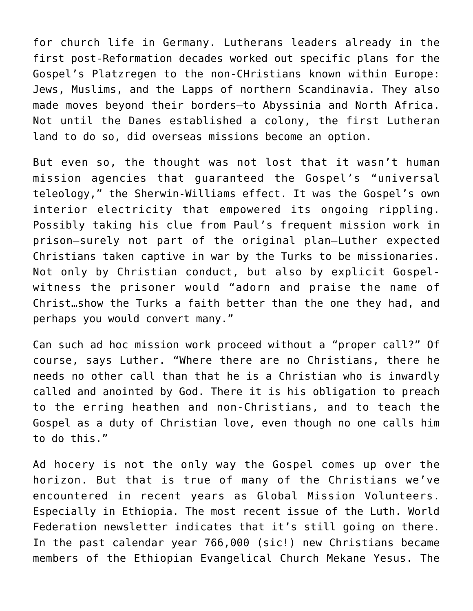for church life in Germany. Lutherans leaders already in the first post-Reformation decades worked out specific plans for the Gospel's Platzregen to the non-CHristians known within Europe: Jews, Muslims, and the Lapps of northern Scandinavia. They also made moves beyond their borders–to Abyssinia and North Africa. Not until the Danes established a colony, the first Lutheran land to do so, did overseas missions become an option.

But even so, the thought was not lost that it wasn't human mission agencies that guaranteed the Gospel's "universal teleology," the Sherwin-Williams effect. It was the Gospel's own interior electricity that empowered its ongoing rippling. Possibly taking his clue from Paul's frequent mission work in prison–surely not part of the original plan–Luther expected Christians taken captive in war by the Turks to be missionaries. Not only by Christian conduct, but also by explicit Gospelwitness the prisoner would "adorn and praise the name of Christ…show the Turks a faith better than the one they had, and perhaps you would convert many."

Can such ad hoc mission work proceed without a "proper call?" Of course, says Luther. "Where there are no Christians, there he needs no other call than that he is a Christian who is inwardly called and anointed by God. There it is his obligation to preach to the erring heathen and non-Christians, and to teach the Gospel as a duty of Christian love, even though no one calls him to do this."

Ad hocery is not the only way the Gospel comes up over the horizon. But that is true of many of the Christians we've encountered in recent years as Global Mission Volunteers. Especially in Ethiopia. The most recent issue of the Luth. World Federation newsletter indicates that it's still going on there. In the past calendar year 766,000 (sic!) new Christians became members of the Ethiopian Evangelical Church Mekane Yesus. The